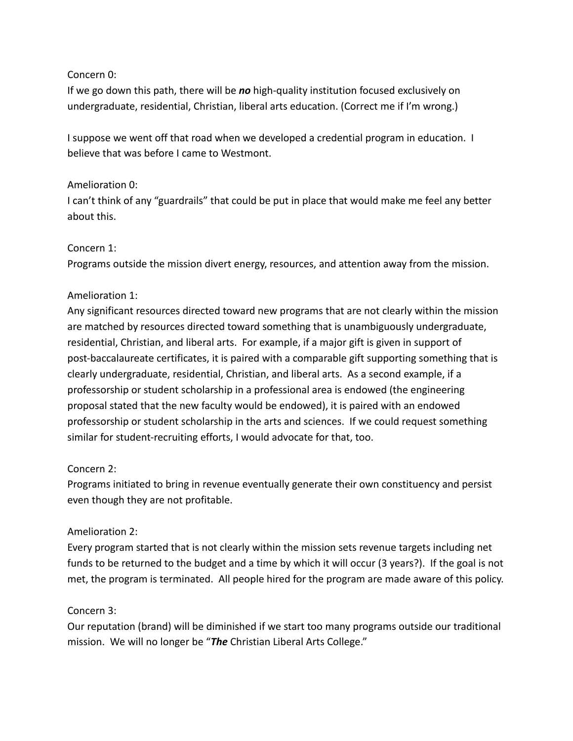### Concern 0:

If we go down this path, there will be *no* high-quality institution focused exclusively on undergraduate, residential, Christian, liberal arts education. (Correct me if I'm wrong.)

I suppose we went off that road when we developed a credential program in education. I believe that was before I came to Westmont.

### Amelioration 0:

I can't think of any "guardrails" that could be put in place that would make me feel any better about this.

### Concern 1:

Programs outside the mission divert energy, resources, and attention away from the mission.

### Amelioration 1:

Any significant resources directed toward new programs that are not clearly within the mission are matched by resources directed toward something that is unambiguously undergraduate, residential, Christian, and liberal arts. For example, if a major gift is given in support of post-baccalaureate certificates, it is paired with a comparable gift supporting something that is clearly undergraduate, residential, Christian, and liberal arts. As a second example, if a professorship or student scholarship in a professional area is endowed (the engineering proposal stated that the new faculty would be endowed), it is paired with an endowed professorship or student scholarship in the arts and sciences. If we could request something similar for student-recruiting efforts, I would advocate for that, too.

# Concern 2:

Programs initiated to bring in revenue eventually generate their own constituency and persist even though they are not profitable.

# Amelioration 2:

Every program started that is not clearly within the mission sets revenue targets including net funds to be returned to the budget and a time by which it will occur (3 years?). If the goal is not met, the program is terminated. All people hired for the program are made aware of this policy.

# Concern 3:

Our reputation (brand) will be diminished if we start too many programs outside our traditional mission. We will no longer be "*The* Christian Liberal Arts College."